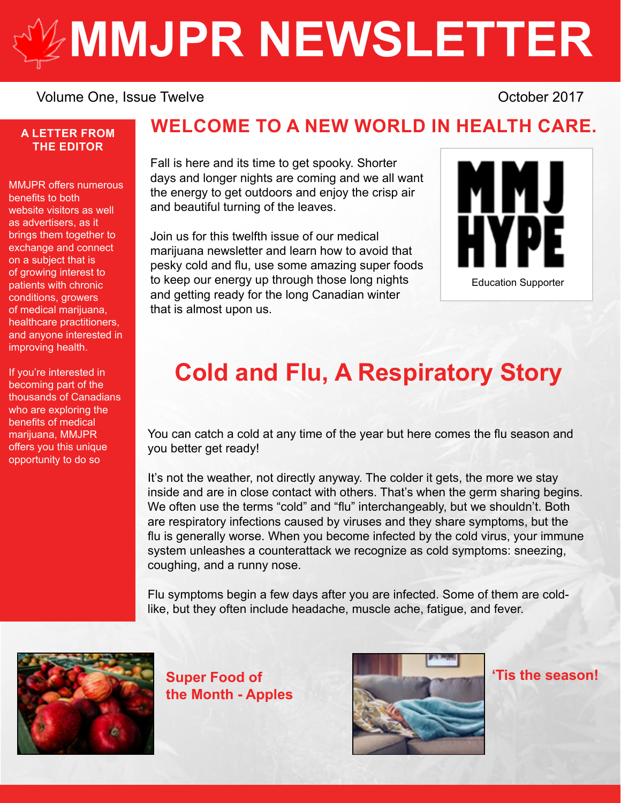# **[MMJPR NEWSLETTER](http://mmjpr.ca)**

#### Volume One, Issue Twelve **Volume One, Issue Twelve COLLECTIVE COLLECT COLLECTIVE COLLECT COLLECT COLLECT COLLECT COLLECT COLLECTIVE COLLECT COLLECT COLLECT COLLECT COLLECT COLLECT COLLECT COLLEC**

#### **A LETTER FROM THE EDITOR**

MMJPR offers numerous benefits to both website visitors as well as advertisers, as it brings them together to exchange and connect on a subject that is of growing interest to patients with chronic conditions, growers of medical marijuana, healthcare practitioners, and anyone interested in improving health.

If you're interested in becoming part of the thousands of Canadians who are exploring the benefits of medical marijuana, MMJPR offers you this unique opportunity to do so

#### **WELCOME TO A NEW WORLD IN HEALTH CARE.**

Fall is here and its time to get spooky. Shorter days and longer nights are coming and we all want the energy to get outdoors and enjoy the crisp air and beautiful turning of the leaves.

Join us for this twelfth issue of our medical marijuana newsletter and learn how to avoid that pesky cold and flu, use some amazing super foods to keep our energy up through those long nights and getting ready for the long Canadian winter that is almost upon us.



## **Cold and Flu, A Respiratory Story**

You can catch a cold at any time of the year but here comes the flu season and you better get ready!

It's not the weather, not directly anyway. The colder it gets, the more we stay inside and are in close contact with others. That's when the germ sharing begins. We often use the terms "cold" and "flu" interchangeably, but we shouldn't. Both are respiratory infections caused by viruses and they share symptoms, but the flu is generally worse. When you become infected by the cold virus, your immune system unleashes a counterattack we recognize as cold symptoms: sneezing, coughing, and a runny nose.

Flu symptoms begin a few days after you are infected. Some of them are coldlike, but they often include headache, muscle ache, fatigue, and fever.



**Super Food of the Month - Apples**



**'Tis the season!**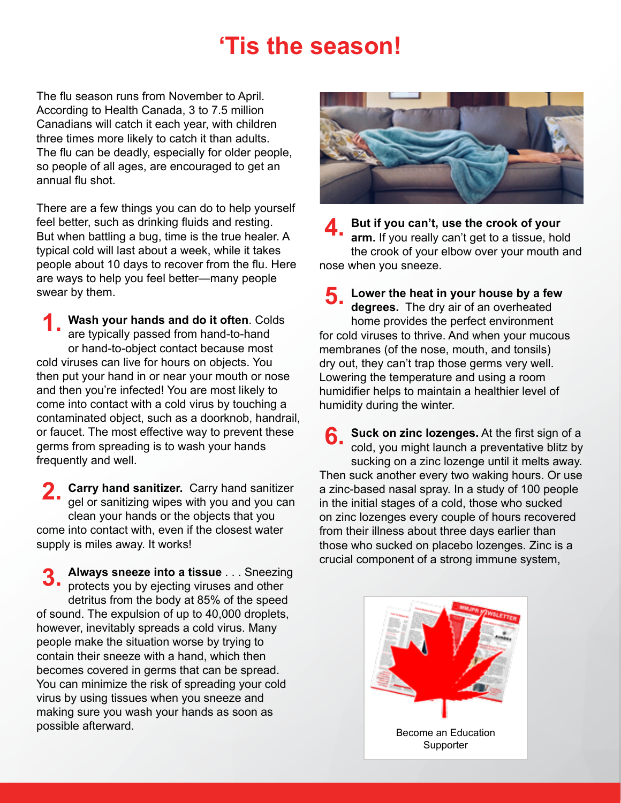## **'Tis the season!**

The flu season runs from November to April. According to Health Canada, 3 to 7.5 million Canadians will catch it each year, with children three times more likely to catch it than adults. The flu can be deadly, especially for older people, so people of all ages, are encouraged to get an annual flu shot.

There are a few things you can do to help yourself feel better, such as drinking fluids and resting. But when battling a bug, time is the true healer. A typical cold will last about a week, while it takes people about 10 days to recover from the flu. Here are ways to help you feel better—many people swear by them.

**Wash your hands and do it often**. Colds are typically passed from hand-to-hand or hand-to-object contact because most cold viruses can live for hours on objects. You then put your hand in or near your mouth or nose and then you're infected! You are most likely to come into contact with a cold virus by touching a contaminated object, such as a doorknob, handrail, or faucet. The most effective way to prevent these germs from spreading is to wash your hands frequently and well. **1.**

**Carry hand sanitizer.** Carry hand sanitizer **2. Carry hand sanitizer.** Carry hand sanitizer gel or sanitizing wipes with you and you can clean your hands or the objects that you come into contact with, even if the closest water supply is miles away. It works!

**Always sneeze into a tissue** . . . Sneezing **3.** Always sneeze into a tissue . . . Sneezin<br>**3.** protects you by ejecting viruses and other detritus from the body at 85% of the speed of sound. The expulsion of up to 40,000 droplets, however, inevitably spreads a cold virus. Many people make the situation worse by trying to contain their sneeze with a hand, which then becomes covered in germs that can be spread. You can minimize the risk of spreading your cold virus by using tissues when you sneeze and making sure you wash your hands as soon as possible afterward.



**But if you can't, use the crook of your arm.** If you really can't get to a tissue, hold the crook of your elbow over your mouth and nose when you sneeze. **4.**

**Lower the heat in your house by a few degrees.** The dry air of an overheated home provides the perfect environment for cold viruses to thrive. And when your mucous membranes (of the nose, mouth, and tonsils) dry out, they can't trap those germs very well. Lowering the temperature and using a room humidifier helps to maintain a healthier level of humidity during the winter. **5.**

**Suck on zinc lozenges.** At the first sign of a cold, you might launch a preventative blitz by sucking on a zinc lozenge until it melts away. Then suck another every two waking hours. Or use a zinc-based nasal spray. In a study of 100 people in the initial stages of a cold, those who sucked on zinc lozenges every couple of hours recovered from their illness about three days earlier than those who sucked on placebo lozenges. Zinc is a crucial component of a strong immune system, **6.**

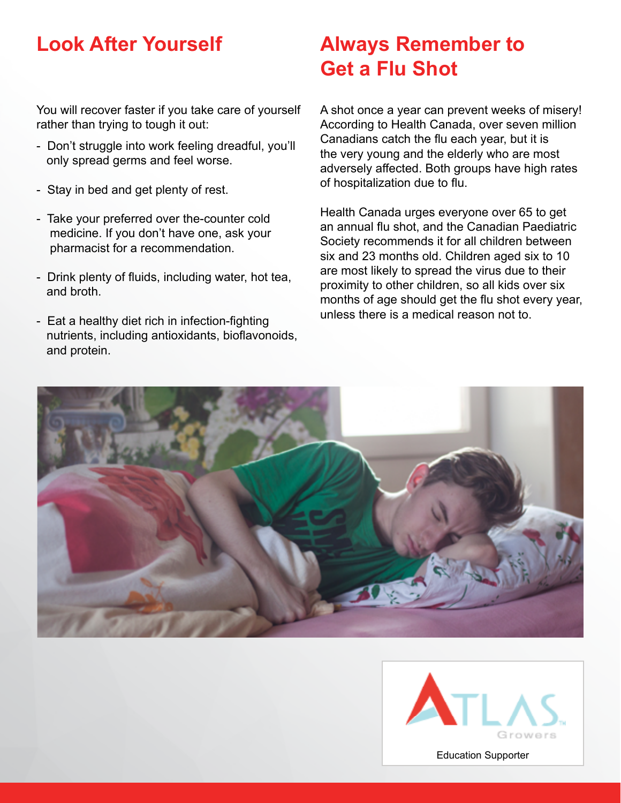You will recover faster if you take care of yourself rather than trying to tough it out:

- Don't struggle into work feeling dreadful, you'll only spread germs and feel worse.
- Stay in bed and get plenty of rest.
- Take your preferred over the-counter cold medicine. If you don't have one, ask your pharmacist for a recommendation.
- Drink plenty of fluids, including water, hot tea, and broth.
- Eat a healthy diet rich in infection-fighting nutrients, including antioxidants, bioflavonoids, and protein.

## **Look After Yourself Always Remember to Get a Flu Shot**

A shot once a year can prevent weeks of misery! According to Health Canada, over seven million Canadians catch the flu each year, but it is the very young and the elderly who are most adversely affected. Both groups have high rates of hospitalization due to flu.

Health Canada urges everyone over 65 to get an annual flu shot, and the Canadian Paediatric Society recommends it for all children between six and 23 months old. Children aged six to 10 are most likely to spread the virus due to their proximity to other children, so all kids over six months of age should get the flu shot every year, unless there is a medical reason not to.



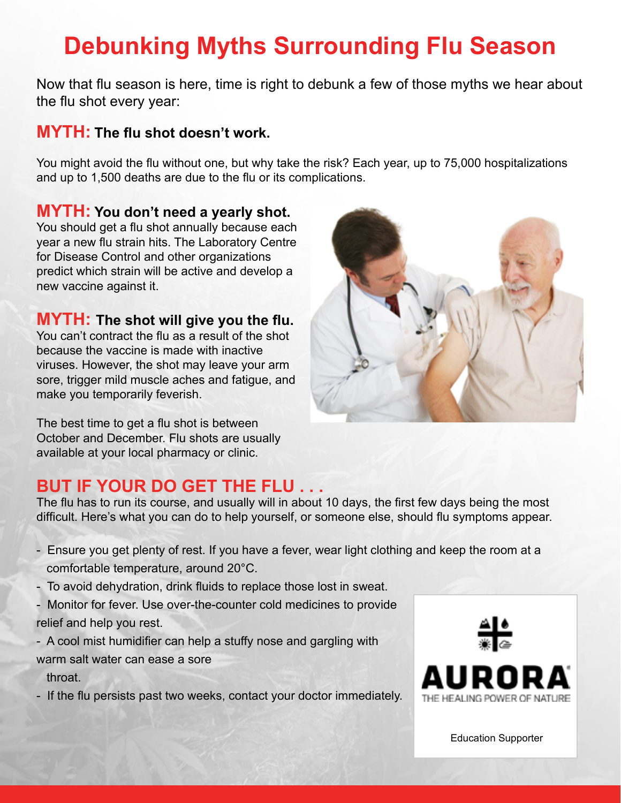## **Debunking Myths Surrounding Flu Season**

Now that flu season is here, time is right to debunk a few of those myths we hear about the flu shot every year:

#### **MYTH: The flu shot doesn't work.**

You might avoid the flu without one, but why take the risk? Each year, up to 75,000 hospitalizations and up to 1,500 deaths are due to the flu or its complications.

#### **MYTH: You don't need a yearly shot.**

You should get a flu shot annually because each year a new flu strain hits. The Laboratory Centre for Disease Control and other organizations predict which strain will be active and develop a new vaccine against it.

#### **MYTH: The shot will give you the flu.**

You can't contract the flu as a result of the shot because the vaccine is made with inactive viruses. However, the shot may leave your arm sore, trigger mild muscle aches and fatigue, and make you temporarily feverish.

The best time to get a flu shot is between October and December. Flu shots are usually available at your local pharmacy or clinic.

#### **BUT IF YOUR DO GET THE FLU . . .**

The flu has to run its course, and usually will in about 10 days, the first few days being the most difficult. Here's what you can do to help yourself, or someone else, should flu symptoms appear.

- Ensure you get plenty of rest. If you have a fever, wear light clothing and keep the room at a comfortable temperature, around 20°C.
- To avoid dehydration, drink fluids to replace those lost in sweat.
- Monitor for fever. Use over-the-counter cold medicines to provide relief and help you rest.
- A cool mist humidifier can help a stuffy nose and gargling with warm salt water can ease a sore
	- throat.
- If the flu persists past two weeks, contact your doctor immediately.





[Education Supporter](https://auroramj.com/)